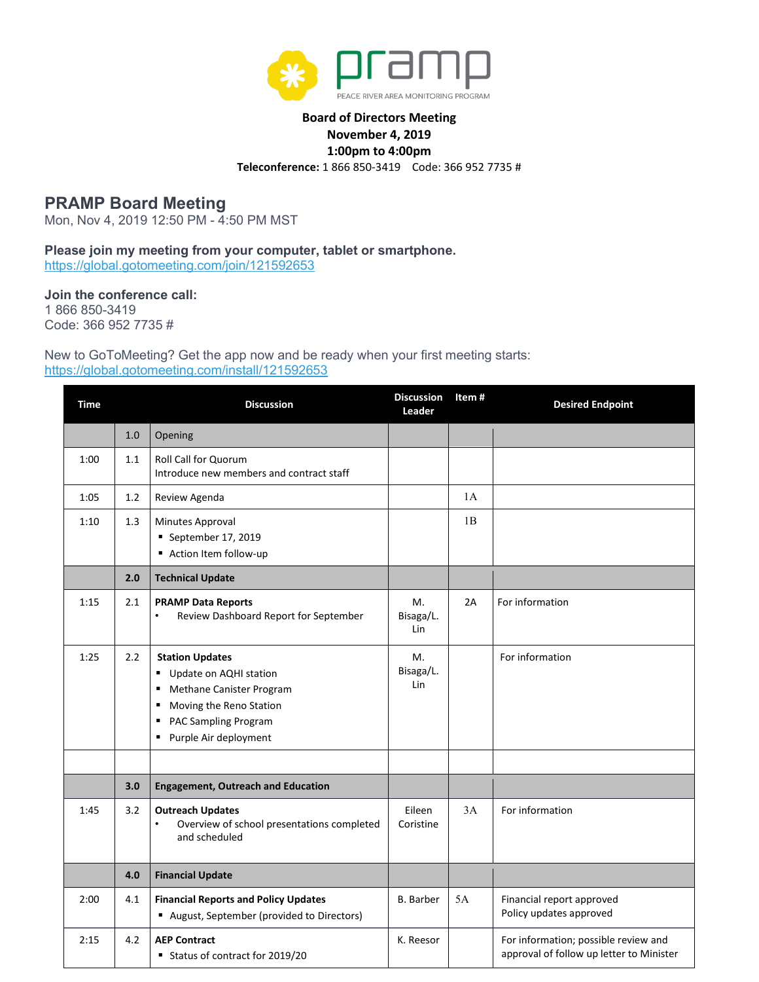

## **Board of Directors Meeting November 4, 2019 1:00pm to 4:00pm Teleconference:** 1 866 850-3419 Code: 366 952 7735 #

## **PRAMP Board Meeting**

Mon, Nov 4, 2019 12:50 PM - 4:50 PM MST

**Please join my meeting from your computer, tablet or smartphone.** <https://global.gotomeeting.com/join/121592653>

**Join the conference call:**

1 866 850-3419 Code: 366 952 7735 #

New to GoToMeeting? Get the app now and be ready when your first meeting starts: <https://global.gotomeeting.com/install/121592653>

| <b>Time</b> |         | <b>Discussion</b>                                                                                                                                                       | <b>Discussion</b><br>Leader | Item# | <b>Desired Endpoint</b>                                                          |
|-------------|---------|-------------------------------------------------------------------------------------------------------------------------------------------------------------------------|-----------------------------|-------|----------------------------------------------------------------------------------|
|             | 1.0     | Opening                                                                                                                                                                 |                             |       |                                                                                  |
| 1:00        | $1.1\,$ | <b>Roll Call for Quorum</b><br>Introduce new members and contract staff                                                                                                 |                             |       |                                                                                  |
| 1:05        | 1.2     | Review Agenda                                                                                                                                                           |                             | 1A    |                                                                                  |
| 1:10        | 1.3     | Minutes Approval<br>September 17, 2019<br>Action Item follow-up                                                                                                         |                             | 1B    |                                                                                  |
|             | 2.0     | <b>Technical Update</b>                                                                                                                                                 |                             |       |                                                                                  |
| 1:15        | 2.1     | <b>PRAMP Data Reports</b><br>Review Dashboard Report for September<br>$\bullet$                                                                                         | Μ.<br>Bisaga/L.<br>Lin      | 2A    | For information                                                                  |
| 1:25        | 2.2     | <b>Station Updates</b><br>Update on AQHI station<br>Methane Canister Program<br>٠<br>Moving the Reno Station<br>٠<br>PAC Sampling Program<br>٠<br>Purple Air deployment | M.<br>Bisaga/L.<br>Lin      |       | For information                                                                  |
|             |         |                                                                                                                                                                         |                             |       |                                                                                  |
|             | 3.0     | <b>Engagement, Outreach and Education</b>                                                                                                                               |                             |       |                                                                                  |
| 1:45        | 3.2     | <b>Outreach Updates</b><br>Overview of school presentations completed<br>$\bullet$<br>and scheduled                                                                     | Eileen<br>Coristine         | 3A    | For information                                                                  |
|             | 4.0     | <b>Financial Update</b>                                                                                                                                                 |                             |       |                                                                                  |
| 2:00        | 4.1     | <b>Financial Reports and Policy Updates</b><br>August, September (provided to Directors)                                                                                | <b>B.</b> Barber            | 5A    | Financial report approved<br>Policy updates approved                             |
| 2:15        | 4.2     | <b>AEP Contract</b><br>Status of contract for 2019/20                                                                                                                   | K. Reesor                   |       | For information; possible review and<br>approval of follow up letter to Minister |